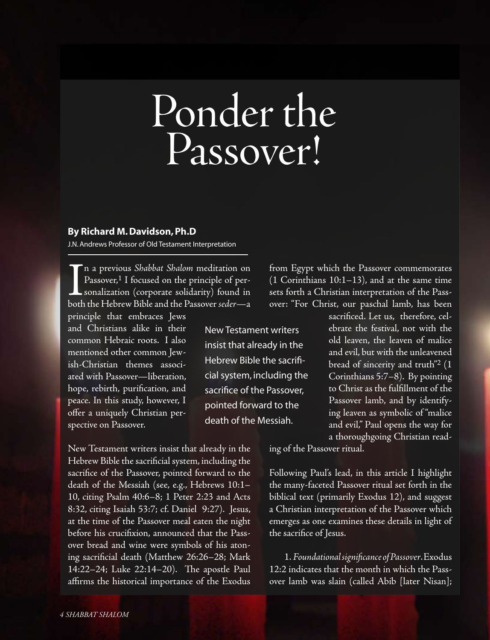## Ponder the Passover!

New Testament writers insist that already in the Hebrew Bible the sacrificial system, including the sacrifice of the Passover, pointed forward to the death of the Messiah.

## **By Richard M. Davidson, Ph.D**

J.N. Andrews Professor of Old Testament Interpretation

I<br>both n a previous *Shabbat Shalom* meditation on Passover,<sup>1</sup> I focused on the principle of personalization (corporate solidarity) found in both the Hebrew Bible and the Passover*seder*—a principle that embraces Jews

and Christians alike in their common Hebraic roots. I also mentioned other common Jewish-Christian themes associated with Passover—liberation, hope, rebirth, purification, and peace. In this study, however, I offer a uniquely Christian perspective on Passover.

New Testament writers insist that already in the Hebrew Bible the sacrificial system, including the sacrifice of the Passover, pointed forward to the death of the Messiah (see, e.g., Hebrews  $10:1-$ 10, citing Psalm 40:6–8; 1 Peter 2:23 and Acts 8:32, citing Isaiah 53:7; cf. Daniel 9:27). Jesus, at the time of the Passover meal eaten the night before his crucifixion, announced that the Passover bread and wine were symbols of his atoning sacrificial death (Matthew 26:26–28; Mark 14:22–24; Luke 22:14–20). The apostle Paul affirms the historical importance of the Exodus from Egypt which the Passover commemorates (1 Corinthians 10:1–13), and at the same time sets forth a Christian interpretation of the Passover: "For Christ, our paschal lamb, has been

> sacrificed. Let us, therefore, celebrate the festival, not with the old leaven, the leaven of malice and evil, but with the unleavened bread of sincerity and truth"2 (1 Corinthians 5:7–8). By pointing to Christ as the fulfillment of the Passover lamb, and by identifying leaven as symbolic of "malice and evil," Paul opens the way for a thoroughgoing Christian read-

ing of the Passover ritual.

Following Paul's lead, in this article I highlight the many-faceted Passover ritual set forth in the biblical text (primarily Exodus 12), and suggest a Christian interpretation of the Passover which emerges as one examines these details in light of the sacrifice of Jesus.

 1. *Foundational significance of Passover*.Exodus 12:2 indicates that the month in which the Passover lamb was slain (called Abib [later Nisan];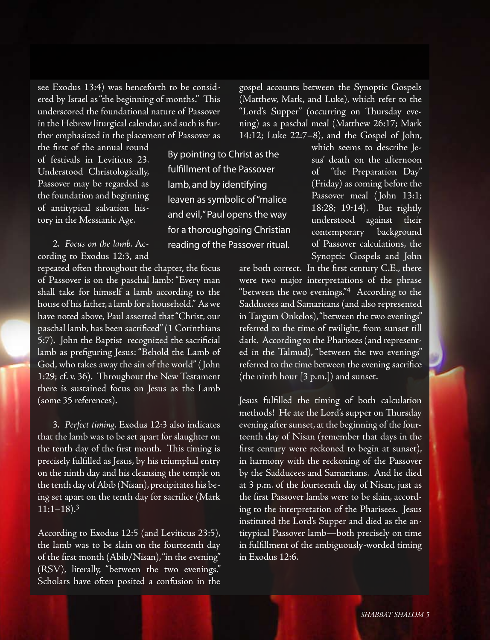see Exodus 13:4) was henceforth to be considered by Israel as"the beginning of months." This underscored the foundational nature of Passover in the Hebrew liturgical calendar, and such is further emphasized in the placement of Passover as

the first of the annual round of festivals in Leviticus 23. Understood Christologically, Passover may be regarded as the foundation and beginning of antitypical salvation history in the Messianic Age.

 2. *Focus on the lamb*. According to Exodus 12:3, and

repeated often throughout the chapter, the focus of Passover is on the paschal lamb: "Every man shall take for himself a lamb according to the house of hisfather, a lamb for a household." Aswe have noted above, Paul asserted that"Christ, our paschal lamb, has been sacrificed"(1 Corinthians 5:7). John the Baptist recognized the sacrificial lamb as prefiguring Jesus: "Behold the Lamb of God, who takes away the sin of the world"( John 1:29; cf. v. 36). Throughout the New Testament there is sustained focus on Jesus as the Lamb (some 35 references).

 3. *Perfect timing*. Exodus 12:3 also indicates that the lamb was to be set apart for slaughter on the tenth day of the first month. This timing is precisely fulfilled as Jesus, by his triumphal entry on the ninth day and his cleansing the temple on the tenth day of Abib (Nisan), precipitates his being set apart on the tenth day for sacrifice (Mark  $11:1-18$ ).<sup>3</sup>

According to Exodus 12:5 (and Leviticus 23:5), the lamb was to be slain on the fourteenth day of the first month (Abib/Nisan),"in the evening" (RSV), literally, "between the two evenings." Scholars have often posited a confusion in the

(Matthew, Mark, and Luke), which refer to the "Lord's Supper" (occurring on Thursday evening) as a paschal meal (Matthew 26:17; Mark 14:12; Luke 22:7–8), and the Gospel of John, which seems to describe Je-By pointing to Christ as the

fulfillment of the Passover lamb, and by identifying

leaven as symbolic of "malice and evil," Paul opens the way for a thoroughgoing Christian reading of the Passover ritual.

gospel accounts between the Synoptic Gospels

sus' death on the afternoon of "the Preparation Day" (Friday) as coming before the Passover meal ( John 13:1; 18:28; 19:14). But rightly understood against their contemporary background of Passover calculations, the Synoptic Gospels and John

are both correct. In the first century C.E., there were two major interpretations of the phrase "between the two evenings."4 According to the Sadducees and Samaritans (and also represented in Targum Onkelos),"between the two evenings" referred to the time of twilight, from sunset till dark. According to the Pharisees (and represented in the Talmud), "between the two evenings" referred to the time between the evening sacrifice (the ninth hour [3 p.m.]) and sunset.

Jesus fulfilled the timing of both calculation methods! He ate the Lord's supper on Thursday evening after sunset, at the beginning of the fourteenth day of Nisan (remember that days in the first century were reckoned to begin at sunset), in harmony with the reckoning of the Passover by the Sadducees and Samaritans. And he died at 3 p.m. of the fourteenth day of Nisan, just as the first Passover lambs were to be slain, according to the interpretation of the Pharisees. Jesus instituted the Lord's Supper and died as the antitypical Passover lamb—both precisely on time in fulfillment of the ambiguously-worded timing in Exodus 12:6.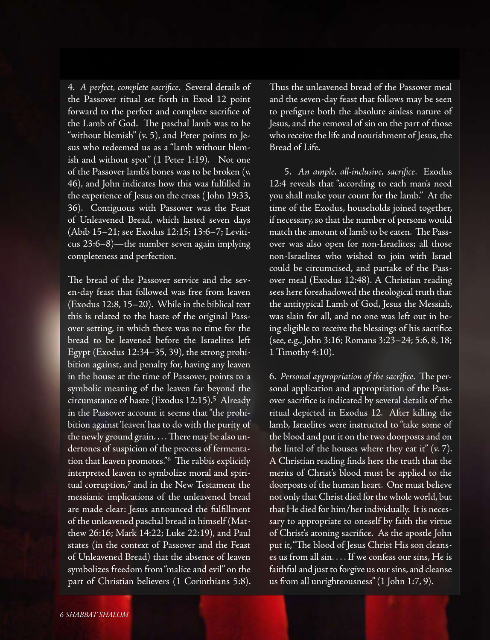4. *A perfect, complete sacrifice*. Several details of the Passover ritual set forth in Exod 12 point forward to the perfect and complete sacrifice of the Lamb of God. The paschal lamb was to be "without blemish" (v. 5), and Peter points to Jesus who redeemed us as a "lamb without blemish and without spot" (1 Peter 1:19). Not one of the Passover lamb's bones was to be broken (v. 46), and John indicates how this was fulfilled in the experience of Jesus on the cross ( John 19:33, 36). Contiguous with Passover was the Feast of Unleavened Bread, which lasted seven days (Abib 15–21; see Exodus 12:15; 13:6–7; Leviticus 23:6–8)—the number seven again implying completeness and perfection.

The bread of the Passover service and the seven-day feast that followed was free from leaven (Exodus 12:8, 15–20). While in the biblical text this is related to the haste of the original Passover setting, in which there was no time for the bread to be leavened before the Israelites left Egypt (Exodus 12:34–35, 39), the strong prohibition against, and penalty for, having any leaven in the house at the time of Passover, points to a symbolic meaning of the leaven far beyond the circumstance of haste (Exodus 12:15).5 Already in the Passover account it seems that"the prohibition against'leaven' has to do with the purity of the newly ground grain.... There may be also undertones of suspicion of the process of fermentation that leaven promotes."<sup>6</sup> The rabbis explicitly interpreted leaven to symbolize moral and spiritual corruption,7 and in the New Testament the messianic implications of the unleavened bread are made clear: Jesus announced the fulfillment of the unleavened paschal bread in himself (Matthew 26:16; Mark 14:22; Luke 22:19), and Paul states (in the context of Passover and the Feast of Unleavened Bread) that the absence of leaven symbolizes freedom from"malice and evil" on the part of Christian believers (1 Corinthians 5:8).

Thus the unleavened bread of the Passover meal and the seven-day feast that follows may be seen to prefigure both the absolute sinless nature of Jesus, and the removal of sin on the part of those who receive the life and nourishment of Jesus, the Bread of Life.

 5. *An ample, all-inclusive, sacrifice*. Exodus 12:4 reveals that "according to each man's need you shall make your count for the lamb." At the time of the Exodus, households joined together, if necessary,so that the number of persons would match the amount of lamb to be eaten. The Passover was also open for non-Israelites; all those non-Israelites who wished to join with Israel could be circumcised, and partake of the Passover meal (Exodus 12:48). A Christian reading sees here foreshadowed the theological truth that the antitypical Lamb of God, Jesus the Messiah, was slain for all, and no one was left out in being eligible to receive the blessings of his sacrifice (see,e.g., John 3:16; Romans 3:23–24; 5:6, 8, 18; 1 Timothy 4:10).

6. *Personal appropriation of the sacrifice*. The personal application and appropriation of the Passover sacrifice is indicated by several details of the ritual depicted in Exodus 12. After killing the lamb, Israelites were instructed to "take some of the blood and put it on the two doorposts and on the lintel of the houses where they eat it"  $(v, 7)$ . A Christian reading finds here the truth that the merits of Christ's blood must be applied to the doorposts of the human heart. One must believe not only that Christ died for the whole world, but that He died for him/her individually. It is necessary to appropriate to oneself by faith the virtue of Christ's atoning sacrifice. As the apostle John put it,"The blood of Jesus Christ His son cleanses us from all sin. . . . If we confess our sins, He is faithful and just to forgive us our sins, and cleanse us from all unrighteousness"(1 John 1:7, 9).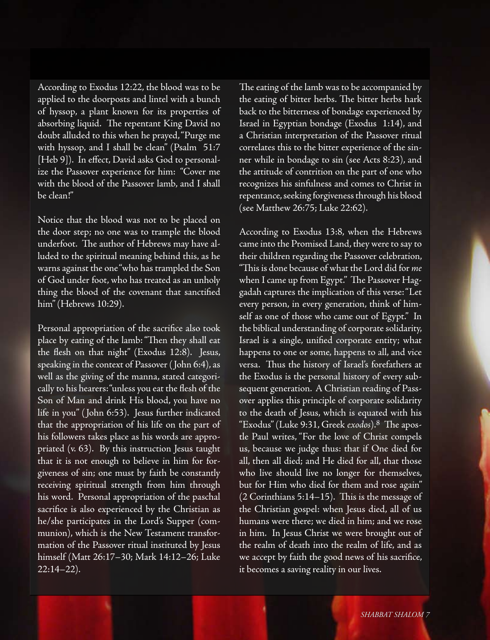According to Exodus 12:22, the blood was to be applied to the doorposts and lintel with a bunch of hyssop, a plant known for its properties of absorbing liquid. The repentant King David no doubt alluded to this when he prayed,"Purge me with hyssop, and I shall be clean" (Psalm 51:7 [Heb 9]). In effect, David asks God to personalize the Passover experience for him: "Cover me with the blood of the Passover lamb, and I shall be clean!"

Notice that the blood was not to be placed on the door step; no one was to trample the blood underfoot. The author of Hebrews may have alluded to the spiritual meaning behind this, as he warns against the one"who has trampled the Son of God under foot, who has treated as an unholy thing the blood of the covenant that sanctified him"(Hebrews 10:29).

Personal appropriation of the sacrifice also took place by eating of the lamb:"Then they shall eat the flesh on that night" (Exodus 12:8). Jesus, speaking in the context of Passover (John 6:4), as well as the giving of the manna, stated categorically to his hearers:"unless you eat the flesh of the Son of Man and drink His blood, you have no life in you" ( John 6:53). Jesus further indicated that the appropriation of his life on the part of his followers takes place as his words are appropriated (v. 63). By this instruction Jesus taught that it is not enough to believe in him for forgiveness of sin; one must by faith be constantly receiving spiritual strength from him through his word. Personal appropriation of the paschal sacrifice is also experienced by the Christian as he/she participates in the Lord's Supper (communion), which is the New Testament transformation of the Passover ritual instituted by Jesus himself (Matt 26:17–30; Mark 14:12–26; Luke 22:14–22).

The eating of the lamb was to be accompanied by the eating of bitter herbs. The bitter herbs hark back to the bitterness of bondage experienced by Israel in Egyptian bondage (Exodus 1:14), and a Christian interpretation of the Passover ritual correlates this to the bitter experience of the sinner while in bondage to sin (see Acts 8:23), and the attitude of contrition on the part of one who recognizes his sinfulness and comes to Christ in repentance, seeking forgiveness through his blood (see Matthew 26:75; Luke 22:62).

According to Exodus 13:8, when the Hebrews came into the Promised Land, they were to say to their children regarding the Passover celebration, "Thisis done because of what the Lord did for *me* when I came up from Egypt." The Passover Haggadah captures the implication of this verse:"Let every person, in every generation, think of himself as one of those who came out of Egypt." In the biblical understanding of corporate solidarity, Israel is a single, unified corporate entity; what happens to one or some, happens to all, and vice versa. Thus the history of Israel's forefathers at the Exodus is the personal history of every subsequent generation. A Christian reading of Passover applies this principle of corporate solidarity to the death of Jesus, which is equated with his "Exodus"(Luke 9:31, Greek *exodos*).8 The apostle Paul writes, "For the love of Christ compels us, because we judge thus: that if One died for all, then all died; and He died for all, that those who live should live no longer for themselves, but for Him who died for them and rose again" (2 Corinthians 5:14–15). This is the message of the Christian gospel: when Jesus died, all of us humans were there; we died in him; and we rose in him. In Jesus Christ we were brought out of the realm of death into the realm of life, and as we accept by faith the good news of his sacrifice, it becomes a saving reality in our lives.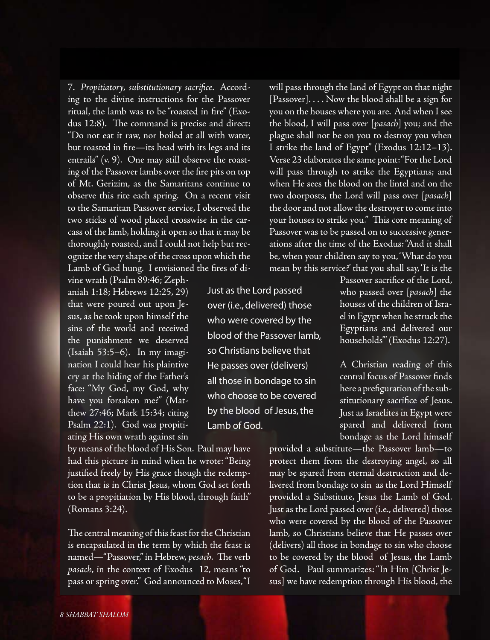7. *Propitiatory, substitutionary sacrifice*. According to the divine instructions for the Passover ritual, the lamb was to be"roasted in fire" (Exodus 12:8). The command is precise and direct: "Do not eat it raw, nor boiled at all with water, but roasted in fire—its head with its legs and its entrails" (v. 9). One may still observe the roasting of the Passover lambs over the fire pits on top of Mt. Gerizim, as the Samaritans continue to observe this rite each spring. On a recent visit to the Samaritan Passover service, I observed the two sticks of wood placed crosswise in the carcass of the lamb, holding it open so that it may be thoroughly roasted, and I could not help but recognize the very shape of the cross upon which the Lamb of God hung. I envisioned the fires of di-

vine wrath (Psalm 89:46; Zephaniah 1:18; Hebrews 12:25, 29) that were poured out upon Jesus, as he took upon himself the sins of the world and received the punishment we deserved (Isaiah 53:5–6). In my imagination I could hear his plaintive cry at the hiding of the Father's face: "My God, my God, why have you forsaken me?" (Matthew 27:46; Mark 15:34; citing Psalm 22:1). God was propitiating His own wrath against sin

by means of the blood of His Son. Paul may have had this picture in mind when he wrote: "Being justified freely by His grace though the redemption that is in Christ Jesus, whom God set forth to be a propitiation by His blood, through faith" (Romans 3:24).

The central meaning of this feast for the Christian is encapsulated in the term by which the feast is named—"Passover,"in Hebrew, *pesach*. The verb *pasach*, in the context of Exodus 12, means "to pass or spring over." God announced to Moses,"I will pass through the land of Egypt on that night  $[Passover]. \ldots$  Now the blood shall be a sign for you on the houses where you are. And when Isee the blood, I will pass over [*pasach*] you; and the plague shall not be on you to destroy you when I strike the land of Egypt" (Exodus 12:12–13). Verse 23 elaborates the same point: "For the Lord will pass through to strike the Egyptians; and when He sees the blood on the lintel and on the two doorposts, the Lord will pass over [*pasach*] the door and not allow the destroyer to come into your houses to strike you." This core meaning of Passover was to be passed on to successive generations after the time of the Exodus:"And it shall be, when your children say to you,'What do you mean by this service?' that you shall say, 'It is the

Just as the Lord passed over (i.e., delivered) those who were covered by the blood of the Passover lamb, so Christians believe that He passes over (delivers) all those in bondage to sin who choose to be covered by the blood of Jesus, the Lamb of God.

Passover sacrifice of the Lord, who passed over [*pasach*] the houses of the children of Israel in Egypt when hestruck the Egyptians and delivered our households'"(Exodus 12:27).

A Christian reading of this central focus of Passover finds here a prefiguration of the substitutionary sacrifice of Jesus. Just as Israelites in Egypt were spared and delivered from bondage as the Lord himself

provided a substitute—the Passover lamb—to protect them from the destroying angel, so all may be spared from eternal destruction and delivered from bondage to sin as the Lord Himself provided a Substitute, Jesus the Lamb of God. Just as the Lord passed over (i.e., delivered) those who were covered by the blood of the Passover lamb, so Christians believe that He passes over (delivers) all those in bondage to sin who choose to be covered by the blood of Jesus, the Lamb of God. Paul summarizes:"In Him [Christ Jesus] we have redemption through His blood, the